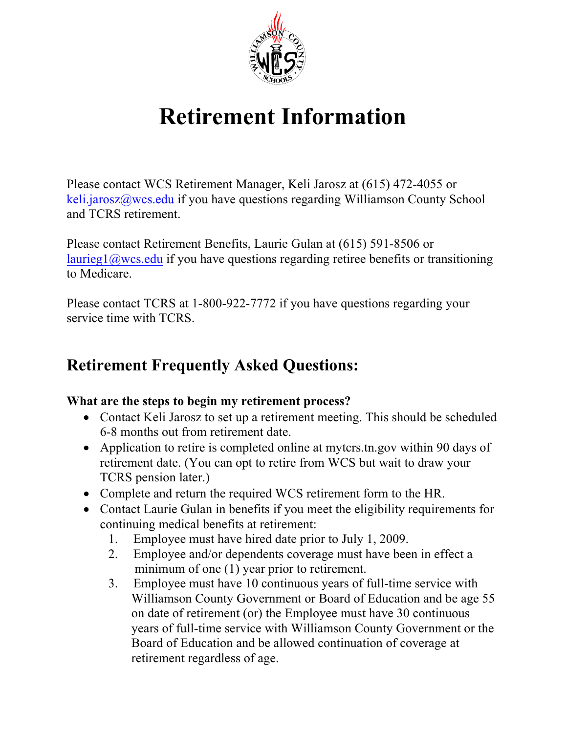

# **Retirement Information**

Please contact WCS Retirement Manager, Keli Jarosz at (615) 472-4055 or [keli.jarosz@wcs.edu](mailto:keli.jarosz@wcs.edu) if you have questions regarding Williamson County School and TCRS retirement.

Please contact Retirement Benefits, Laurie Gulan at (615) 591-8506 or [laurieg1@wcs.edu](mailto:laurieg1@wcs.edu) if you have questions regarding retiree benefits or transitioning to Medicare.

Please contact TCRS at 1-800-922-7772 if you have questions regarding your service time with TCRS.

# **Retirement Frequently Asked Questions:**

#### **What are the steps to begin my retirement process?**

- Contact Keli Jarosz to set up a retirement meeting. This should be scheduled 6-8 months out from retirement date.
- Application to retire is completed online at mytcrs.tn.gov within 90 days of retirement date. (You can opt to retire from WCS but wait to draw your TCRS pension later.)
- Complete and return the required WCS retirement form to the HR.
- Contact Laurie Gulan in benefits if you meet the eligibility requirements for continuing medical benefits at retirement:
	- 1. Employee must have hired date prior to July 1, 2009.
	- 2. Employee and/or dependents coverage must have been in effect a minimum of one (1) year prior to retirement.
	- 3. Employee must have 10 continuous years of full-time service with Williamson County Government or Board of Education and be age 55 on date of retirement (or) the Employee must have 30 continuous years of full-time service with Williamson County Government or the Board of Education and be allowed continuation of coverage at retirement regardless of age.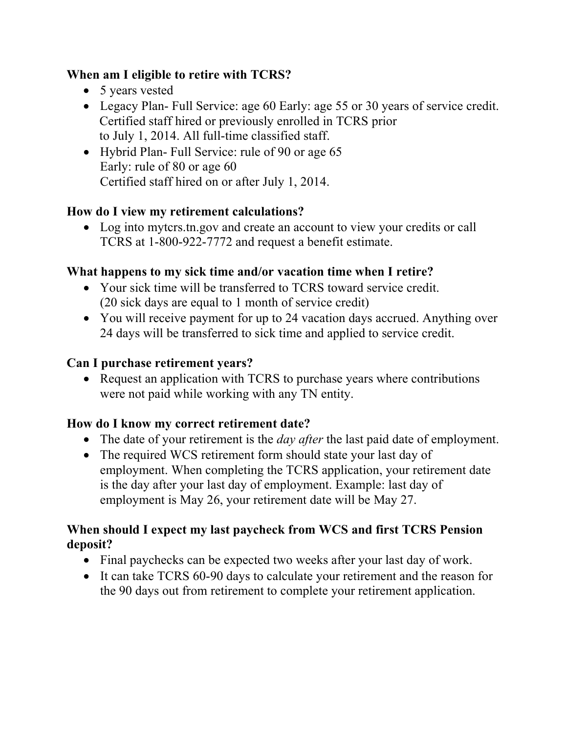#### **When am I eligible to retire with TCRS?**

- 5 years vested
- Legacy Plan- Full Service: age 60 Early: age 55 or 30 years of service credit. Certified staff hired or previously enrolled in TCRS prior to July 1, 2014. All full-time classified staff.
- Hybrid Plan- Full Service: rule of 90 or age 65 Early: rule of 80 or age 60 Certified staff hired on or after July 1, 2014.

## **How do I view my retirement calculations?**

• Log into myters.tn.gov and create an account to view your credits or call TCRS at 1-800-922-7772 and request a benefit estimate.

# **What happens to my sick time and/or vacation time when I retire?**

- Your sick time will be transferred to TCRS toward service credit. (20 sick days are equal to 1 month of service credit)
- You will receive payment for up to 24 vacation days accrued. Anything over 24 days will be transferred to sick time and applied to service credit.

# **Can I purchase retirement years?**

• Request an application with TCRS to purchase years where contributions were not paid while working with any TN entity.

## **How do I know my correct retirement date?**

- The date of your retirement is the *day after* the last paid date of employment.
- The required WCS retirement form should state your last day of employment. When completing the TCRS application, your retirement date is the day after your last day of employment. Example: last day of employment is May 26, your retirement date will be May 27.

#### **When should I expect my last paycheck from WCS and first TCRS Pension deposit?**

- Final paychecks can be expected two weeks after your last day of work.
- It can take TCRS 60-90 days to calculate your retirement and the reason for the 90 days out from retirement to complete your retirement application.